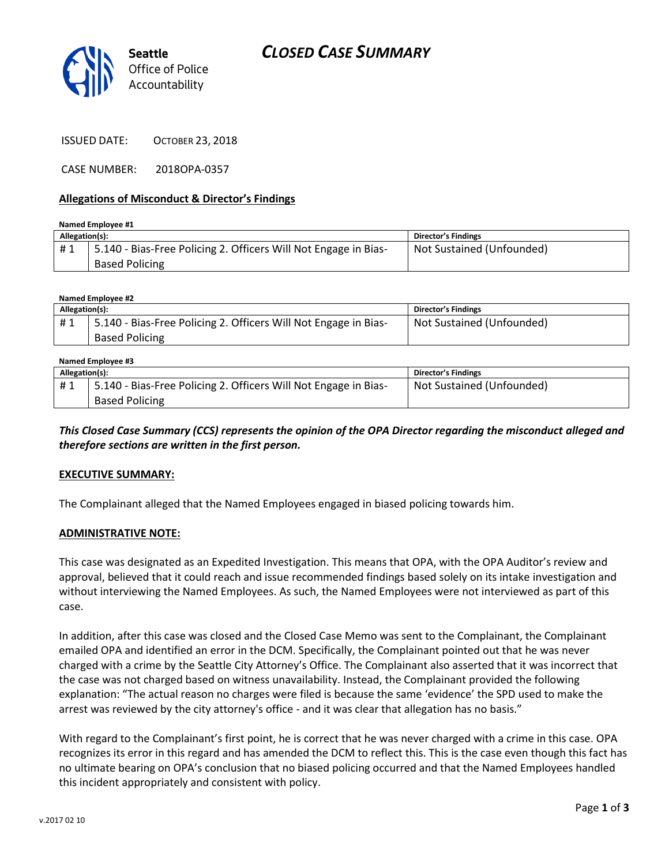



ISSUED DATE: OCTOBER 23, 2018

CASE NUMBER: 2018OPA-0357

#### **Allegations of Misconduct & Director's Findings**

| Named Employee #1 |                                                                 |                            |  |  |
|-------------------|-----------------------------------------------------------------|----------------------------|--|--|
| Allegation(s):    |                                                                 | <b>Director's Findings</b> |  |  |
| #1                | 5.140 - Bias-Free Policing 2. Officers Will Not Engage in Bias- | Not Sustained (Unfounded)  |  |  |
|                   | <b>Based Policing</b>                                           |                            |  |  |

#### **Named Employee #2**

| Allegation(s): |                                                                 | <b>Director's Findings</b> |
|----------------|-----------------------------------------------------------------|----------------------------|
| #1             | 5.140 - Bias-Free Policing 2. Officers Will Not Engage in Bias- | Not Sustained (Unfounded)  |
|                | <b>Based Policing</b>                                           |                            |

| Named Employee #3 |                                                                 |                            |  |  |
|-------------------|-----------------------------------------------------------------|----------------------------|--|--|
| Allegation(s):    |                                                                 | <b>Director's Findings</b> |  |  |
| #1                | 5.140 - Bias-Free Policing 2. Officers Will Not Engage in Bias- | Not Sustained (Unfounded)  |  |  |
|                   | <b>Based Policing</b>                                           |                            |  |  |

### *This Closed Case Summary (CCS) represents the opinion of the OPA Director regarding the misconduct alleged and therefore sections are written in the first person.*

#### **EXECUTIVE SUMMARY:**

The Complainant alleged that the Named Employees engaged in biased policing towards him.

#### **ADMINISTRATIVE NOTE:**

This case was designated as an Expedited Investigation. This means that OPA, with the OPA Auditor's review and approval, believed that it could reach and issue recommended findings based solely on its intake investigation and without interviewing the Named Employees. As such, the Named Employees were not interviewed as part of this case.

In addition, after this case was closed and the Closed Case Memo was sent to the Complainant, the Complainant emailed OPA and identified an error in the DCM. Specifically, the Complainant pointed out that he was never charged with a crime by the Seattle City Attorney's Office. The Complainant also asserted that it was incorrect that the case was not charged based on witness unavailability. Instead, the Complainant provided the following explanation: "The actual reason no charges were filed is because the same 'evidence' the SPD used to make the arrest was reviewed by the city attorney's office - and it was clear that allegation has no basis."

With regard to the Complainant's first point, he is correct that he was never charged with a crime in this case. OPA recognizes its error in this regard and has amended the DCM to reflect this. This is the case even though this fact has no ultimate bearing on OPA's conclusion that no biased policing occurred and that the Named Employees handled this incident appropriately and consistent with policy.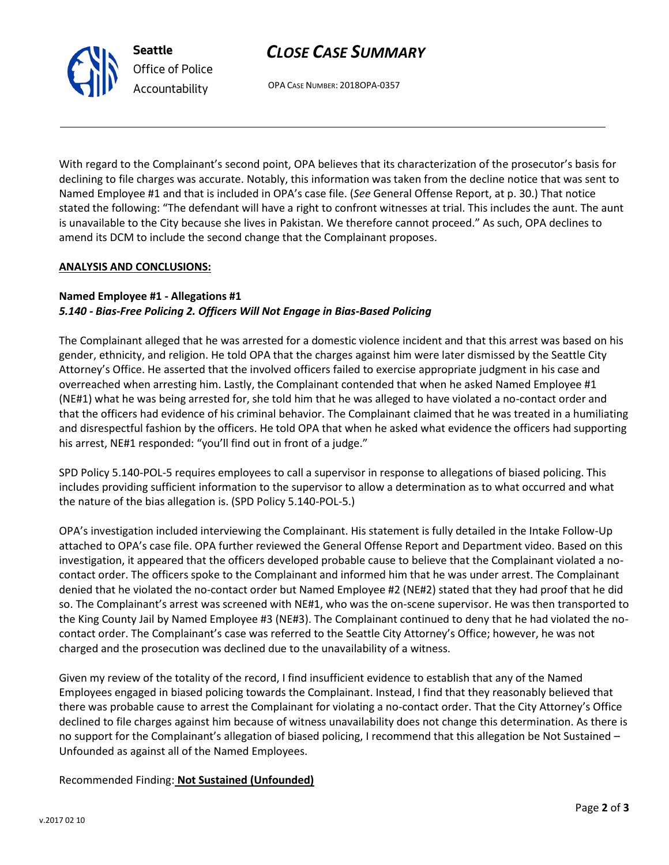# *CLOSE CASE SUMMARY*

OPA CASE NUMBER: 2018OPA-0357

With regard to the Complainant's second point, OPA believes that its characterization of the prosecutor's basis for declining to file charges was accurate. Notably, this information was taken from the decline notice that was sent to Named Employee #1 and that is included in OPA's case file. (*See* General Offense Report, at p. 30.) That notice stated the following: "The defendant will have a right to confront witnesses at trial. This includes the aunt. The aunt is unavailable to the City because she lives in Pakistan. We therefore cannot proceed." As such, OPA declines to amend its DCM to include the second change that the Complainant proposes.

### **ANALYSIS AND CONCLUSIONS:**

# **Named Employee #1 - Allegations #1**

**Seattle**

*Office of Police Accountability*

# *5.140 - Bias-Free Policing 2. Officers Will Not Engage in Bias-Based Policing*

The Complainant alleged that he was arrested for a domestic violence incident and that this arrest was based on his gender, ethnicity, and religion. He told OPA that the charges against him were later dismissed by the Seattle City Attorney's Office. He asserted that the involved officers failed to exercise appropriate judgment in his case and overreached when arresting him. Lastly, the Complainant contended that when he asked Named Employee #1 (NE#1) what he was being arrested for, she told him that he was alleged to have violated a no-contact order and that the officers had evidence of his criminal behavior. The Complainant claimed that he was treated in a humiliating and disrespectful fashion by the officers. He told OPA that when he asked what evidence the officers had supporting his arrest, NE#1 responded: "you'll find out in front of a judge."

SPD Policy 5.140-POL-5 requires employees to call a supervisor in response to allegations of biased policing. This includes providing sufficient information to the supervisor to allow a determination as to what occurred and what the nature of the bias allegation is. (SPD Policy 5.140-POL-5.)

OPA's investigation included interviewing the Complainant. His statement is fully detailed in the Intake Follow-Up attached to OPA's case file. OPA further reviewed the General Offense Report and Department video. Based on this investigation, it appeared that the officers developed probable cause to believe that the Complainant violated a nocontact order. The officers spoke to the Complainant and informed him that he was under arrest. The Complainant denied that he violated the no-contact order but Named Employee #2 (NE#2) stated that they had proof that he did so. The Complainant's arrest was screened with NE#1, who was the on-scene supervisor. He was then transported to the King County Jail by Named Employee #3 (NE#3). The Complainant continued to deny that he had violated the nocontact order. The Complainant's case was referred to the Seattle City Attorney's Office; however, he was not charged and the prosecution was declined due to the unavailability of a witness.

Given my review of the totality of the record, I find insufficient evidence to establish that any of the Named Employees engaged in biased policing towards the Complainant. Instead, I find that they reasonably believed that there was probable cause to arrest the Complainant for violating a no-contact order. That the City Attorney's Office declined to file charges against him because of witness unavailability does not change this determination. As there is no support for the Complainant's allegation of biased policing, I recommend that this allegation be Not Sustained – Unfounded as against all of the Named Employees.

Recommended Finding: **Not Sustained (Unfounded)**